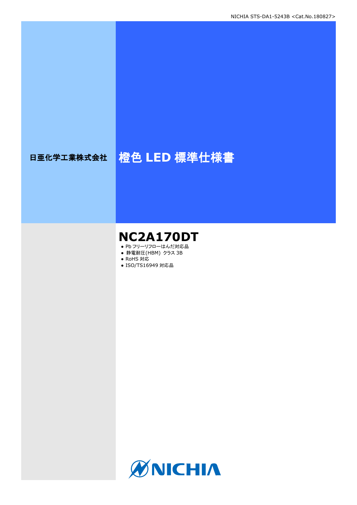# 日亜化学工業株式会社 <mark>橙色 LED 標準仕様書</mark>

# **NC2A170DT**

- Pb フリーリフローはんだ対応品
- **静電耐圧(HBM) クラス 3B**
- RoHS 対応
- ISO/TS16949 対応品

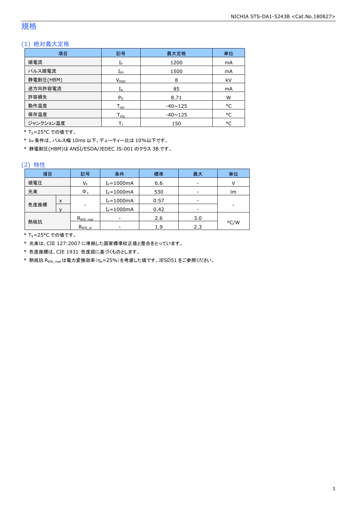### 規格

### (1) 絶対最大定格

| 項目        | 記号                           | 最大定格           | 単位 |
|-----------|------------------------------|----------------|----|
| 順電流       | ${\rm I}_{{\rm F}}$          | 1200           | mA |
| パルス順電流    | $I_{\mathsf{FP}}$            | 1500           | mA |
| 静電耐圧(HBM) | V <sub>ESD</sub>             | 8              | kV |
| 逆方向許容電流   | $\rm I_R$                    | 85             | mA |
| 許容損失      | $P_D$                        | 8.71           | W  |
| 動作温度      | ${\mathsf T}_{\textsf{opr}}$ | $-40 \sim 125$ | °C |
| 保存温度      | $T_{\text{stq}}$             | $-40 \sim 125$ | °C |
| ジャンクション温度 |                              | 150            | °C |

\* T<sub>S</sub>=25°C での値です。

\* IFP条件は、パルス幅 10ms 以下、デューティー比は 10%以下です。

\* 静電耐圧(HBM)は ANSI/ESDA/JEDEC JS-001 のクラス 3B です。

#### (2) 特性

| 項目   |   | 記号                      | 条件              | 標準   | 最大  | 単位   |
|------|---|-------------------------|-----------------|------|-----|------|
| 順電圧  |   | $\mathsf{V}_\mathsf{F}$ | $I_F = 1000$ mA | 6.6  | -   |      |
| 光束   |   | $\Phi_{\rm v}$          | $I_F = 1000mA$  | 530  | -   | lm.  |
|      | X |                         | $I_F = 1000mA$  | 0.57 |     |      |
| 色度座標 |   | -                       | $I_F = 1000mA$  | 0.42 |     |      |
|      |   | $R_{\theta}$ JS real    |                 | 2.6  | 3.0 |      |
| 熱抵抗  |   | $R_{\theta}$ JS el      |                 | 1.9  | 2.3 | °C/W |

\* T<sub>S</sub>=25°C での値です。

\* 光束は、CIE 127:2007 に準拠した国家標準校正値と整合をとっています。

\* 色度座標は、CIE 1931 色度図に基づくものとします。

\* 熱抵抗 Rejs\_real は電力変換効率(ne=25%)を考慮した値です。JESD51 をご参照ください。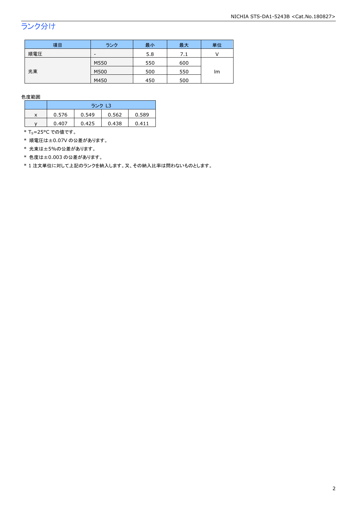## ランク分け

| 項目  | ランク  | 最小  | 最大  | 単位 |
|-----|------|-----|-----|----|
| 順電圧 | -    | 5.8 | 7.1 |    |
|     | M550 | 550 | 600 |    |
| 光束  | M500 | 500 | 550 | lm |
|     | M450 | 450 | 500 |    |

色度範囲

|   | ランク L3 |       |       |       |  |
|---|--------|-------|-------|-------|--|
| x | 0.576  | 0.549 | 0.562 | 0.589 |  |
|   | 0.407  | 0.425 | 0.438 | 0.411 |  |

 $*$  T<sub>S</sub>=25°C での値です。

\* 順電圧は±0.07V の公差があります。

\* 光束は±5%の公差があります。

\* 色度は±0.003 の公差があります。

\* 1 注文単位に対して上記のランクを納入します。又、その納入比率は問わないものとします。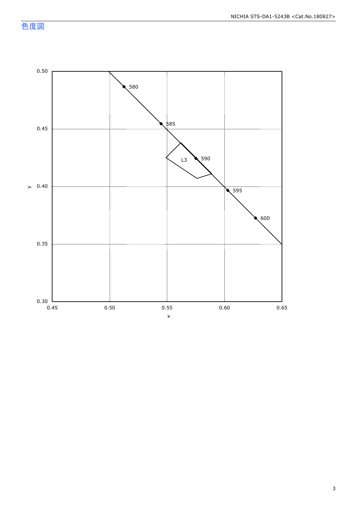色度図



3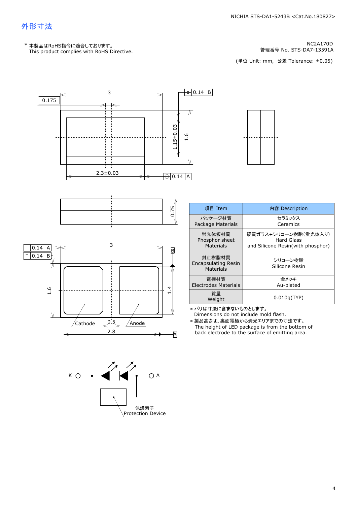### 外形寸法

KC2A170D MC2A170D MC2A170D MC2A170D<br>管理番号 No. STS-DA7-13591A 管理番号 No. STS-DA7-13591A<br>(単位 Unit: mm, 公差 Tolerance: ±0.05)

管理番号 No.





| 項目 Item                                    | 内容 Description                                                          |
|--------------------------------------------|-------------------------------------------------------------------------|
| パッケージ材質<br>Package Materials               | セラミックス<br>Ceramics                                                      |
| 蛍光体板材質<br>Phosphor sheet<br>Materials      | 硬質ガラス+シリコーン樹脂(蛍光体入り)<br>Hard Glass<br>and Silicone Resin(with phosphor) |
| 封止樹脂材質<br>Encapsulating Resin<br>Materials | シリコーン樹脂<br>Silicone Resin                                               |
| 雷極材質<br><b>Electrodes Materials</b>        | 金メッキ<br>Au-plated                                                       |
| 質量<br>Weight                               | 0.010q(TYP)                                                             |

\* バリは寸法に含まないものとします。<br>Dimensions do not include mold flash.

The height of LED package is from the bottom of \* 製品高さは、裏面電極から発光エリアまでの寸法です。<br>The height of LED package is from the bottom<br>back electrode to the surface of emitting area.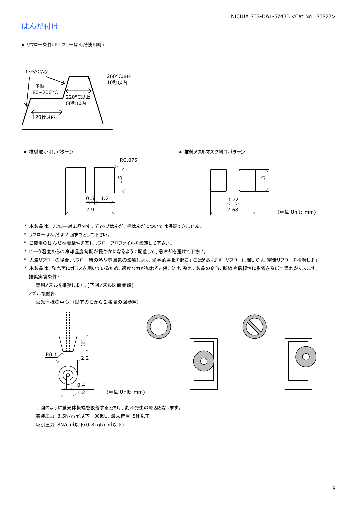### はんだ付け

● リフロー条件(Pb フリーはんだ使用時)



● 推奨取り付けパターン ろんじょう しょうしゃ ゆうしゃ ウィック・クラック 推奨メタルマスク開口パターン





- \* 本製品は、リフロー対応品です。ディップはんだ、手はんだについては保証できません。
- \* リフローはんだは 2 回までとして下さい。
- \* ご使用のはんだ推奨条件を基にリフロープロファイルを設定して下さい。
- \* ピーク温度からの冷却温度勾配が緩やかになるように配慮して、急冷却を避けて下さい。
- \* 大気リフローの場合、リフロー時の熱や雰囲気の影響により、光学的劣化を起こすことがあります。リフローに際しては、窒素リフローを推奨します。
- \* 本製品は、発光面にガラスを用いているため、過度な力が加わると傷、欠け、割れ、製品の変形、断線や信頼性に影響を及ぼす恐れがあります。 推奨実装条件:

専用ノズルを推奨します。(下図ノズル図面参照)

ノズル接触部:

蛍光体板の中心。(以下の右から 2 番目の図参照)



 上図のように蛍光体板端を吸着すると欠け、割れ発生の原因となります。 実装圧力 3.5N/m㎡以下 ※但し、最大荷重 5N 以下 吸引圧力 8N/c ㎡以下(0.8kgf/c ㎡以下)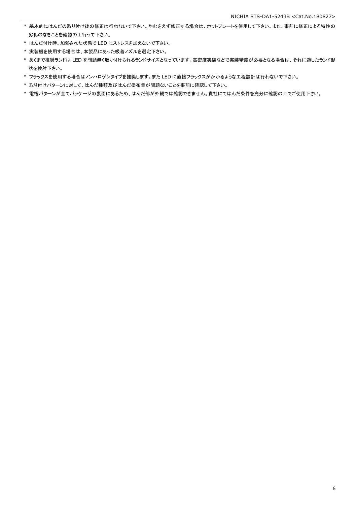- \* 基本的にはんだの取り付け後の修正は行わないで下さい。やむをえず修正する場合は、ホットプレートを使用して下さい。また、事前に修正による特性の 劣化のなきことを確認の上行って下さい。
- \* はんだ付け時、加熱された状態で LED にストレスを加えないで下さい。
- \* 実装機を使用する場合は、本製品にあった吸着ノズルを選定下さい。
- \* あくまで推奨ランドは LED を問題無く取り付けられるランドサイズとなっています。高密度実装などで実装精度が必要となる場合は、それに適したランド形 状を検討下さい。
- \* フラックスを使用する場合はノンハロゲンタイプを推奨します。また LED に直接フラックスがかかるような工程設計は行わないで下さい。
- \* 取り付けパターンに対して、はんだ種類及びはんだ塗布量が問題ないことを事前に確認して下さい。
- \* 電極パターンが全てパッケージの裏面にあるため、はんだ部が外観では確認できません。貴社にてはんだ条件を充分に確認の上でご使用下さい。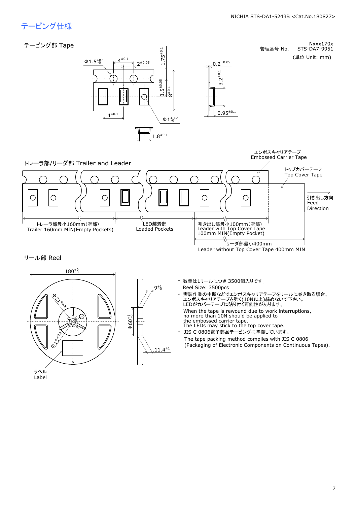管理番号 No.

STS-DA7-9951

Nxxx170x

## テーピング仕様







Reel Size: 3500pcs \* 数量は1リールにつき 3500個入りです。

 $0.2^{\pm 0.05}$ 

3.2±0.1

 $0.95^{\pm0.1}$ 

\* 実装作業の中断などでエンボスキャリアテープをリールに巻き取る場合、<br>エンボスキャリアテープを強く(10N以上)締めないで下さい。<br>LEDがカバーテープに貼り付く可能性があります。<br>When the tape is rewound due to work interruptions,<br>mo more than 10N should be applied to<br>the embossed carrier tape.<br>The LEDs ma

When the tape is rewound due to work interruptions, no more than 10N should be applied to the embossed carrier tape.

The tape packing method complies with JIS C 0806 \* JIS C 0806電子部品テーピングに準拠しています。<br>The tape packing method complies with JIS C 0806<br>(Packaging of Electronic Components on Continuous Tapes).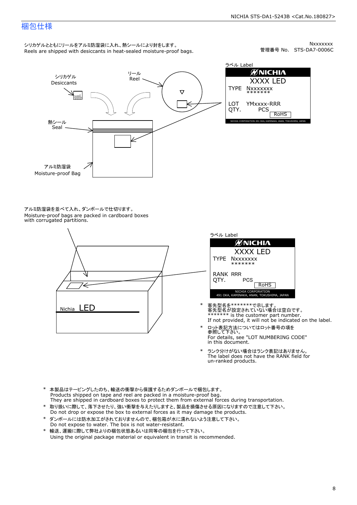### 梱包仕様

シリカゲルとともにリールをアルミ防湿袋に入れ、熱シールにより封をします。<br>Reels are shipped with desiccants in heat-sealed moisture-proof bags.

Nxxxxxxx<br>管理番号 No. STS-DA7-0006C



ラベル Label ØNICHIA XXXX LED<br>|xxxxxxx<br>\*\*\*\*\*\*\*<br>'Mxxxx-RRR<br>PCS & Rohs TYPE NXXXXXXX<br>
LOT YMXXXX-R<br>
QTY. PCS YMxxxx-RRR

アルミ防湿袋を並べて入れ、ダンボールで仕切ります。<br>Moisture-proof bags are packed in cardboard boxes<br>with corrugated partitions.





- 客先型名を\*\*\*\*\*\*\*で示します。<br>客先型名が設定されていない場合は空白です。<br>\*\*\*\*\*\*\* is the customer part number.<br>If not provided, it will not be indicated on the label.
- ロット表記方法についてはロット番号の項を<br>参照して下さい。 \* ロット表記方法についてはロット番号の項を<br>参照して下さい。<br>For details, see "LOT NUMBERING CODE"<br>in this document.
- The label does not have the RANK field for \* ランク分けがない場合はランク表記はありません。<br>The label does not have the RANK field fi<br>un-ranked products.
- 
- \* 本製品はテーピングしたのち、輸送の衝撃から保護するためダンボールで梱包します。<br>Products shipped on tape and reel are packed in a moisture-proof bag.<br>They are shipped in cardboard boxes to protect them from external forces during transportation.<br>\* 取り扱いに際して、落
- \* ダンボールには防水加工がされておりませんので、梱包箱が水に濡れないよう注意して下さい。 \* 取り扱いに際して、落下させたり、強い衝撃を与えたりしますと、製品を損傷させる原因になりますので注意して下さい。<br>Do not drop or expose the box to external forces as it may damage the products.<br>\* ダンボールには防水加工がされておりませんので、梱包箱が水に濡れないよう注意して下さい。<br>Do not expose to water. The box is n
-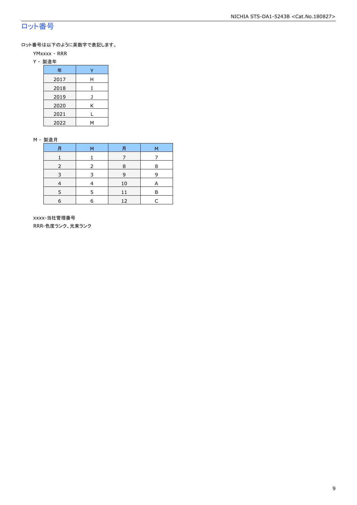### ロット番号

ロット番号は以下のように英数字で表記します。

- YMxxxx RRR
- Y 製造年

| 年    |   |
|------|---|
| 2017 | Н |
| 2018 |   |
| 2019 |   |
| 2020 | Κ |
| 2021 |   |
| 2022 | м |

#### M - 製造月

|   | м | Ħ  | М |
|---|---|----|---|
|   |   |    |   |
|   |   | 8  | 8 |
| ર | っ | 9  | q |
|   |   | 10 |   |
|   | 5 | 11 | R |
| 6 |   | 12 |   |

 xxxx-当社管理番号 RRR-色度ランク、光束ランク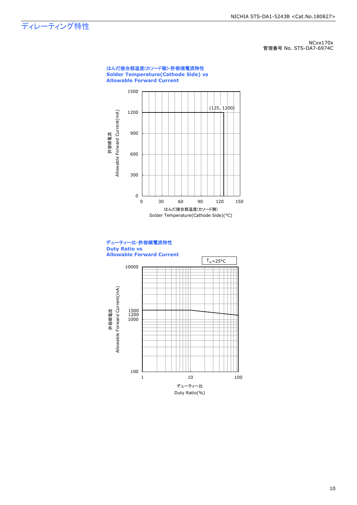## ディレーティング特性

NCxx170x 管理番号 No. STS-DA7-6974C





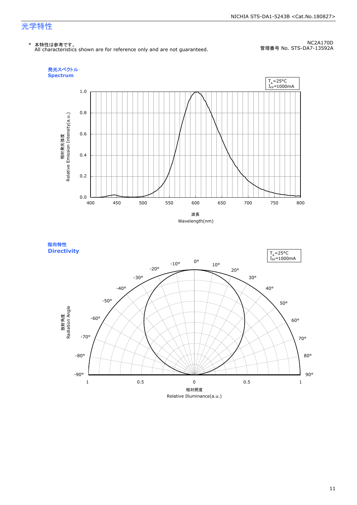#### NICHIA STS-DA1-5243B <Cat.No.180827>

### 光学特性

\* 本特性は参考です。 All characteristics shown are for reference only and are not guaranteed.

NC2A170D 管理番号 No. STS-DA7-13592A



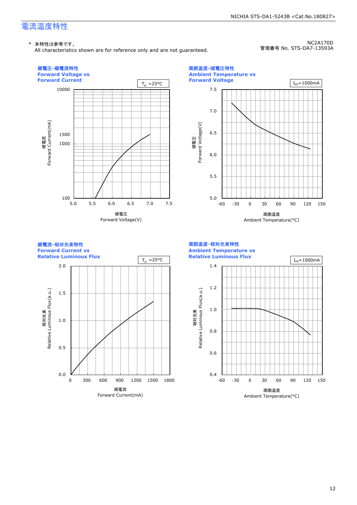## 電流温度特性

#### \* 本特性は参考です。

All characteristics shown are for reference only and are not guaranteed.

NC2A170D 管理番号 No. STS-DA7-13593A

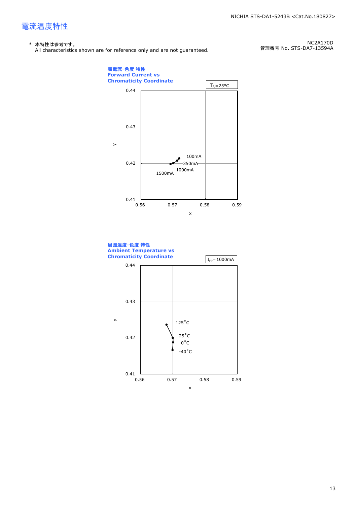## 電流温度特性

#### \* 本特性は参考です。

All characteristics shown are for reference only and are not guaranteed.

NC2A170D 管理番号 No. STS-DA7-13594A



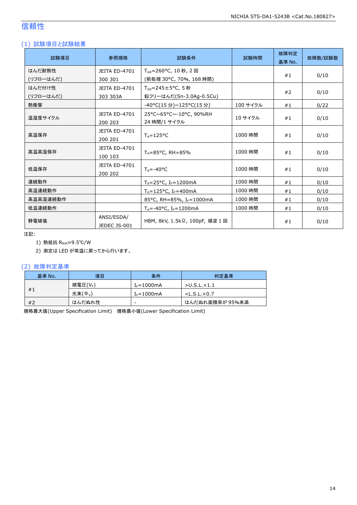### 信頼性

### (1) 試験項目と試験結果

| 試験項目      | 参照規格                            | 試験条件                                         | 試験時間     | 故障判定<br>基準 No. | 故障数/試験数 |
|-----------|---------------------------------|----------------------------------------------|----------|----------------|---------|
| はんだ耐熱性    | <b>JEITA ED-4701</b>            | $T_{\text{std}} = 260$ °C, 10 秒, 2 回         |          |                |         |
| (リフローはんだ) | 300 301                         | (前処理 30℃, 70%, 168 時間)                       |          | #1             | 0/10    |
| はんだ付け性    | <b>JEITA ED-4701</b>            | $T_{\text{std}} = 245 \pm 5^{\circ}$ C, 5秒   |          |                |         |
| (リフローはんだ) | 303 303A                        | 鉛フリーはんだ(Sn-3.0Ag-0.5Cu)                      |          | #2             | 0/10    |
| 熱衝撃       |                                 | -40°C(15 分)~125°C(15 分)                      | 100 サイクル | #1             | 0/22    |
| 温湿度サイクル   | <b>JEITA ED-4701</b><br>200 203 | 25°C~65°C~-10°C, 90%RH<br>24 時間/1 サイクル       | 10 サイクル  | #1             | 0/10    |
| 高温保存      | <b>JEITA ED-4701</b><br>200 201 | $T_A = 125$ °C                               | 1000 時間  | #1             | 0/10    |
| 高温高湿保存    | <b>JEITA ED-4701</b><br>100 103 | $T_A = 85^{\circ}$ C, RH = 85%               | 1000 時間  | #1             | 0/10    |
| 低温保存      | <b>JEITA ED-4701</b><br>200 202 | $T_{\text{A}} = -40^{\circ}C$                | 1000 時間  | #1             | 0/10    |
| 連続動作      |                                 | $T_A = 25^{\circ}C$ , I <sub>F</sub> =1200mA | 1000 時間  | #1             | 0/10    |
| 高温連続動作    |                                 | $T_A = 125$ °C, I <sub>F</sub> =400mA        | 1000 時間  | #1             | 0/10    |
| 高温高湿連続動作  |                                 | 85°C, RH=85%, I <sub>F</sub> =1000mA         | 1000 時間  | #1             | 0/10    |
| 低温連続動作    |                                 | $T_A = -40$ °C, I <sub>F</sub> =1200mA       | 1000 時間  | #1             | 0/10    |
| 静電破壊      | ANSI/ESDA/<br>JEDEC JS-001      | HBM, 8kV, 1.5kΩ, 100pF, 順逆 1回                |          | #1             | 0/10    |

注記:

1) 熱抵抗 RθJA≈9.5℃/W

2) 測定は LED が常温に戻ってから行います。

#### (2) 故障判定基準

| 基準 No. | 項目               | 条件              | 判定基準                    |
|--------|------------------|-----------------|-------------------------|
|        | 順電圧(VF)          | $I_F = 1000$ mA | $>$ U.S.L. $\times$ 1.1 |
| #1     | 光束( $\Phi_{V}$ ) | $I_F = 1000$ mA | $<$ L.S.L. $\times$ 0.7 |
| #2     | はんだぬれ性           | -               | はんだぬれ面積率が 95%未満         |

規格最大値(Upper Specification Limit) 規格最小値(Lower Specification Limit)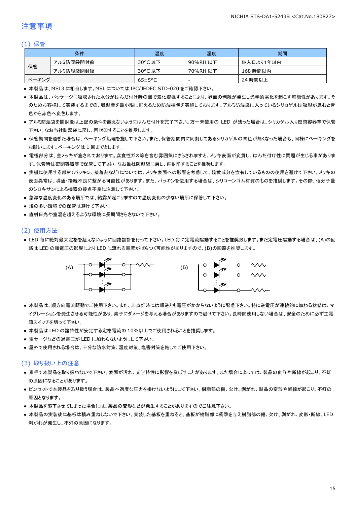### 注意事項

#### (1) 保管

|       | 条件        | 温度                   | 湿度       | 期間        |
|-------|-----------|----------------------|----------|-----------|
|       | アルミ防湿袋開封前 | 30°C 以下              | 90%RH 以下 | 納入日より1年以内 |
| 保管    | アルミ防湿袋開封後 | 30°C 以下              | 70%RH 以下 | 168 時間以内  |
| ベーキング |           | $65 \pm 5^{\circ}$ C | -        | 24 時間以上   |

● 本製品は、MSL3 に相当します。MSL については IPC/JEDEC STD-020 をご確認下さい。

- 本製品は、パッケージに吸収された水分がはんだ付け時の熱で気化膨張することにより、界面の剥離が発生し光学的劣化を起こす可能性があります。そ のためお客様にて実装するまでの、吸湿量を最小限に抑えるため防湿梱包を実施しております。アルミ防湿袋に入っているシリカゲルは吸湿が進むと青 色から赤色へ変色します。
- アルミ防湿袋を開封後は上記の条件を越えないようにはんだ付けを完了下さい。万一未使用の LED が残った場合は、シリカゲル入り密閉容器等で保管 下さい。なお当社防湿袋に戻し、再封印することを推奨します。
- 保管期間を過ぎた場合は、ベーキング処理を施して下さい。また、保管期間内に同封してあるシリカゲルの青色が無くなった場合も、同様にベーキングを お願いします。ベーキングは 1 回までとします。
- 電極部分は、金メッキが施されております。腐食性ガス等を含む雰囲気にさらされますと、メッキ表面が変質し、はんだ付け性に問題が生じる事がありま す。保管時は密閉容器等で保管して下さい。なお当社防湿袋に戻し、再封印することを推奨します。
- 実機に使用する部材(パッキン、接着剤など)については、メッキ表面への影響を考慮して、硫黄成分を含有しているものの使用を避けて下さい。メッキの 表面異常は、導通・接続不良に繋がる可能性があります。また、パッキンを使用する場合は、シリコーンゴム材質のものを推奨します。その際、低分子量 のシロキサンによる機器の接点不良に注意して下さい。
- 急激な温度変化のある場所では、結露が起こりますので温度変化の少ない場所に保管して下さい。
- 埃の多い環境での保管は避けて下さい。
- 直射日光や室温を超えるような環境に長期間さらさないで下さい。

#### (2) 使用方法

● LED 毎に絶対最大定格を超えないように回路設計を行って下さい。LED 毎に定電流駆動することを推奨致します。また定電圧駆動する場合は、(A)の回 路は LED の順電圧の影響により LED に流れる電流がばらつく可能性がありますので、(B)の回路を推奨します。



- 本製品は、順方向電流駆動でご使用下さい。また、非点灯時には順逆とも電圧がかからないように配慮下さい。特に逆電圧が連続的に加わる状態は、マ イグレーションを発生させる可能性があり、素子にダメージを与える場合がありますので避けて下さい。長時間使用しない場合は、安全のために必ず主電 源スイッチを切って下さい。
- 本製品は LED の諸特性が安定する定格電流の 10%以上でご使用されることを推奨します。
- 雷サージなどの過電圧が LED に加わらないようにして下さい。
- 屋外で使用される場合は、十分な防水対策、湿度対策、塩害対策を施してご使用下さい。

#### (3) 取り扱い上の注意

- 素手で本製品を取り扱わないで下さい。表面が汚れ、光学特性に影響を及ぼすことがあります。また場合によっては、製品の変形や断線が起こり、不灯 の原因になることがあります。
- ピンセットで本製品を取り扱う場合は、製品へ過度な圧力を掛けないようにして下さい。樹脂部の傷、欠け、剥がれ、製品の変形や断線が起こり、不灯の 原因となります。
- 本製品を落下させてしまった場合には、製品の変形などが発生することがありますのでご注意下さい。
- 本製品の実装後に基板は積み重ねしないで下さい。実装した基板を重ねると、基板が樹脂部に衝撃を与え樹脂部の傷、欠け、剥がれ、変形・断線、LED 剥がれが発生し、不灯の原因になります。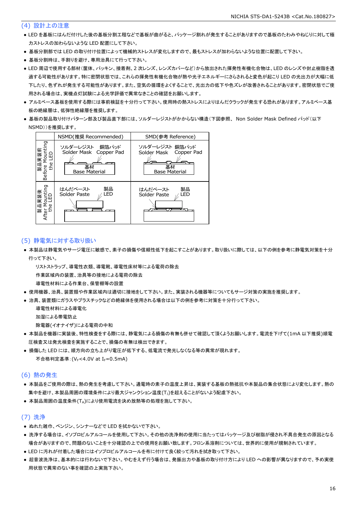#### (4) 設計上の注意

- LED を基板にはんだ付けした後の基板分割工程などで基板が曲がると、パッケージ割れが発生することがありますので基板のたわみやねじりに対して極 力ストレスの加わらないような LED 配置にして下さい。
- 基板分割部では LED の取り付け位置によって機械的ストレスが変化しますので、最もストレスが加わらないような位置に配置して下さい。
- 基板分割時は、手割りを避け、専用治具にて行って下さい。
- LED 周辺で使用する部材(筐体、パッキン、接着剤、2 次レンズ、レンズカバーなど)から放出された揮発性有機化合物は、LED のレンズや封止樹脂を透 過する可能性があります。特に密閉状態では、これらの揮発性有機化合物が熱や光子エネルギーにさらされると変色が起こり LED の光出力が大幅に低 下したり、色ずれが発生する可能性があります。また、空気の循環をよくすることで、光出力の低下や色ズレが改善されることがあります。密閉状態でご使 用される場合は、実機点灯試験による光学評価で異常なきことの確認をお願いします。
- アルミベース基板を使用する際には事前検証を十分行って下さい。使用時の熱ストレスによりはんだクラックが発生する恐れがあります。アルミベース基 板の絶縁層は、低弾性絶縁層を推奨します。
- 基板の製品取り付けパターン部及び製品直下部には、ソルダーレジストがかからない構造(下図参照、 Non Solder Mask Defined パッド(以下 NSMD))を推奨します。



#### (5) 静電気に対する取り扱い

● 本製品は静電気やサージ電圧に敏感で、素子の損傷や信頼性低下を起こすことがあります。取り扱いに際しては、以下の例を参考に静電気対策を十分 行って下さい。

 リストストラップ、導電性衣類、導電靴、導電性床材等による電荷の除去 作業区域内の装置、治具等の接地による電荷の除去

導電性材料による作業台、保管棚等の設置

- 使用機器、治具、装置類や作業区域内は適切に接地をして下さい。また、実装される機器等についてもサージ対策の実施を推奨します。
- 治具、装置類にガラスやプラスチックなどの絶縁体を使用される場合は以下の例を参考に対策を十分行って下さい。

導電性材料による導電化

加湿による帯電防止

除電器(イオナイザ)による電荷の中和

- 本製品を機器に実装後、特性検査をする際には、静電気による損傷の有無も併せて確認して頂くようお願いします。電流を下げて(1mA 以下推奨)順電 圧検査又は発光検査を実施することで、損傷の有無は検出できます。
- 損傷した LED には、順方向の立ち上がり電圧が低下する、低電流で発光しなくなる等の異常が現れます。 不合格判定基準: (VE<4.0V at IE=0.5mA)

#### (6) 熱の発生

- 本製品をご使用の際は、熱の発生を考慮して下さい。通電時の素子の温度上昇は、実装する基板の熱抵抗や本製品の集合状態により変化します。熱の 集中を避け、本製品周囲の環境条件により最大ジャンクション温度(T<sub>1</sub>)を超えることがないよう配慮下さい。
- 本製品周囲の温度条件(TA)により使用電流を決め放熱等の処理を施して下さい。

#### (7) 洗浄

- ぬれた雑巾、ベンジン、シンナーなどで LED を拭かないで下さい。
- 洗浄する場合は、イソプロピルアルコールを使用して下さい。その他の洗浄剤の使用に当たってはパッケージ及び樹脂が侵され不具合発生の原因となる 場合がありますので、問題のないことを十分確認の上での使用をお願い致します。フロン系溶剤については、世界的に使用が規制されています。
- LED に汚れが付着した場合にはイソプロピルアルコールを布に付けて良く絞って汚れを拭き取って下さい。
- 超音波洗浄は、基本的には行わないで下さい。やむをえず行う場合は、発振出力や基板の取り付け方により LED への影響が異なりますので、予め実使 用状態で異常のない事を確認の上実施下さい。